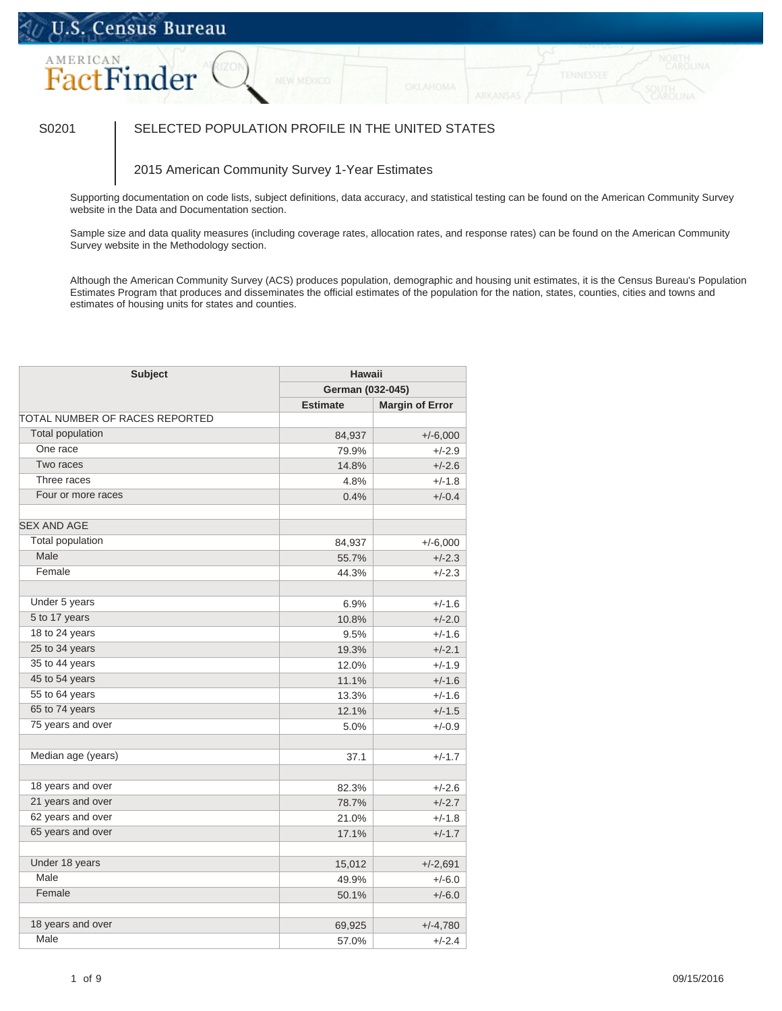## U.S. Census Bureau

# **FactFinder**

### S0201 SELECTED POPULATION PROFILE IN THE UNITED STATES

#### 2015 American Community Survey 1-Year Estimates

Supporting documentation on code lists, subject definitions, data accuracy, and statistical testing can be found on the American Community Survey website in the Data and Documentation section.

Sample size and data quality measures (including coverage rates, allocation rates, and response rates) can be found on the American Community Survey website in the Methodology section.

Although the American Community Survey (ACS) produces population, demographic and housing unit estimates, it is the Census Bureau's Population Estimates Program that produces and disseminates the official estimates of the population for the nation, states, counties, cities and towns and estimates of housing units for states and counties.

| <b>Subject</b><br><b>Hawaii</b> |                  |                        |
|---------------------------------|------------------|------------------------|
|                                 | German (032-045) |                        |
|                                 | <b>Estimate</b>  | <b>Margin of Error</b> |
| TOTAL NUMBER OF RACES REPORTED  |                  |                        |
| <b>Total population</b>         | 84,937           | $+/-6,000$             |
| One race                        | 79.9%            | $+/-2.9$               |
| Two races                       | 14.8%            | $+/-2.6$               |
| Three races                     | 4.8%             | $+/-1.8$               |
| Four or more races              | 0.4%             | $+/-0.4$               |
|                                 |                  |                        |
| <b>SEX AND AGE</b>              |                  |                        |
| <b>Total population</b>         | 84,937           | $+/-6,000$             |
| Male                            | 55.7%            | $+/-2.3$               |
| Female                          | 44.3%            | $+/-2.3$               |
|                                 |                  |                        |
| Under 5 years                   | 6.9%             | $+/-1.6$               |
| 5 to 17 years                   | 10.8%            | $+/-2.0$               |
| 18 to 24 years                  | 9.5%             | $+/-1.6$               |
| 25 to 34 years                  | 19.3%            | $+/-2.1$               |
| 35 to 44 years                  | 12.0%            | $+/-1.9$               |
| 45 to 54 years                  | 11.1%            | $+/-1.6$               |
| 55 to 64 years                  | 13.3%            | $+/-1.6$               |
| 65 to 74 years                  | 12.1%            | $+/-1.5$               |
| 75 years and over               | 5.0%             | $+/-0.9$               |
|                                 |                  |                        |
| Median age (years)              | 37.1             | $+/-1.7$               |
|                                 |                  |                        |
| 18 years and over               | 82.3%            | $+/-2.6$               |
| 21 years and over               | 78.7%            | $+/-2.7$               |
| 62 years and over               | 21.0%            | $+/-1.8$               |
| 65 years and over               | 17.1%            | $+/-1.7$               |
|                                 |                  |                        |
| Under 18 years                  | 15,012           | $+/-2,691$             |
| Male                            | 49.9%            | $+/-6.0$               |
| Female                          | 50.1%            | $+/-6.0$               |
|                                 |                  |                        |
| 18 years and over               | 69,925           | $+/-4,780$             |
| Male                            | 57.0%            | $+/-2.4$               |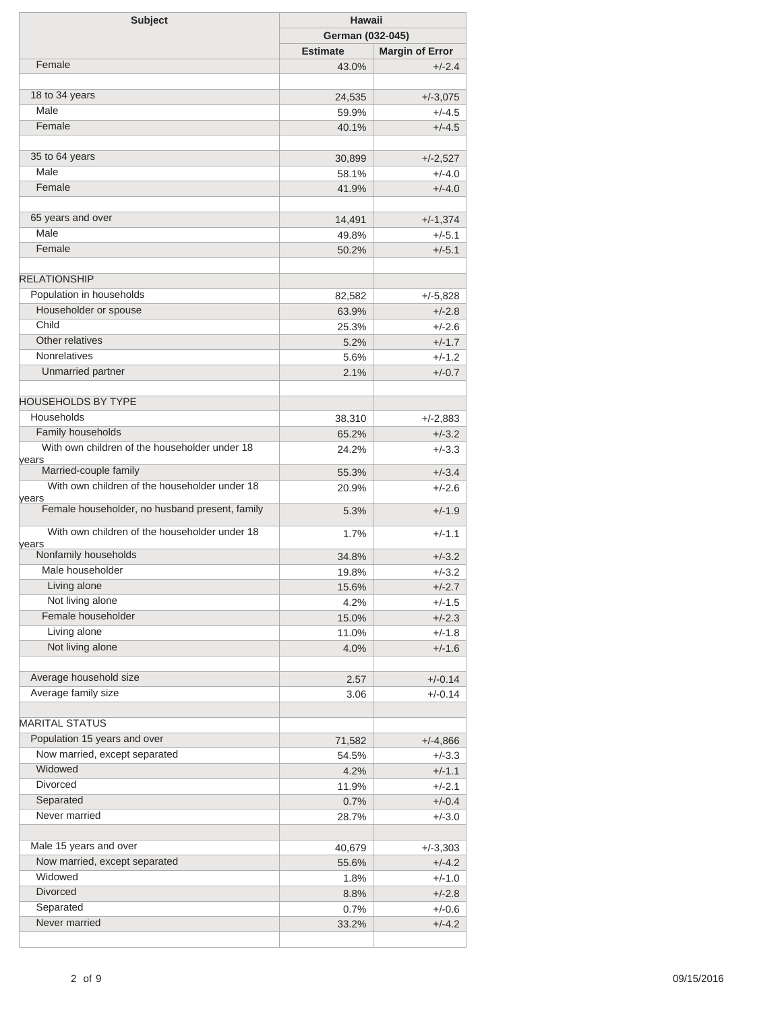| <b>Subject</b><br><b>Hawaii</b>                        |                  |                        |
|--------------------------------------------------------|------------------|------------------------|
|                                                        | German (032-045) |                        |
|                                                        | <b>Estimate</b>  | <b>Margin of Error</b> |
| Female                                                 | 43.0%            | $+/-2.4$               |
| 18 to 34 years                                         |                  |                        |
| Male                                                   | 24,535           | $+/-3.075$             |
| Female                                                 | 59.9%            | $+/-4.5$               |
|                                                        | 40.1%            | $+/-4.5$               |
| 35 to 64 years                                         | 30,899           | $+/-2,527$             |
| Male                                                   | 58.1%            | $+/-4.0$               |
| Female                                                 | 41.9%            | $+/-4.0$               |
|                                                        |                  |                        |
| 65 years and over                                      | 14,491           | $+/-1,374$             |
| Male                                                   | 49.8%            | $+/-5.1$               |
| Female                                                 | 50.2%            | $+/-5.1$               |
|                                                        |                  |                        |
| <b>RELATIONSHIP</b>                                    |                  |                        |
| Population in households                               | 82,582           | $+/-5,828$             |
| Householder or spouse                                  | 63.9%            | $+/-2.8$               |
| Child                                                  | 25.3%            | $+/-2.6$               |
| Other relatives                                        | 5.2%             | $+/-1.7$               |
| <b>Nonrelatives</b>                                    | 5.6%             | $+/-1.2$               |
| Unmarried partner                                      | 2.1%             | $+/-0.7$               |
| <b>HOUSEHOLDS BY TYPE</b>                              |                  |                        |
| Households                                             | 38,310           | $+/-2,883$             |
| Family households                                      | 65.2%            | $+/-3.2$               |
| With own children of the householder under 18          | 24.2%            | $+/-3.3$               |
| vears                                                  |                  |                        |
| Married-couple family                                  | 55.3%            | $+/-3.4$               |
| With own children of the householder under 18<br>years | 20.9%            | $+/-2.6$               |
| Female householder, no husband present, family         | 5.3%             | $+/-1.9$               |
| With own children of the householder under 18          | 1.7%             | $+/-1.1$               |
| vears<br>Nonfamily households                          |                  |                        |
| Male householder                                       | 34.8%            | $+/-3.2$               |
|                                                        | 19.8%            | $+/-3.2$               |
| Living alone                                           | 15.6%            | +/-2.7                 |
| Not living alone                                       | 4.2%             | $+/-1.5$               |
| Female householder                                     | 15.0%            | $+/-2.3$               |
| Living alone                                           | 11.0%            | $+/-1.8$               |
| Not living alone                                       | 4.0%             | $+/-1.6$               |
| Average household size                                 | 2.57             | $+/-0.14$              |
| Average family size                                    |                  |                        |
|                                                        | 3.06             | $+/-0.14$              |
| <b>MARITAL STATUS</b>                                  |                  |                        |
| Population 15 years and over                           | 71,582           | $+/-4,866$             |
| Now married, except separated                          | 54.5%            | $+/-3.3$               |
| Widowed                                                | 4.2%             | $+/-1.1$               |
| <b>Divorced</b>                                        | 11.9%            | $+/-2.1$               |
| Separated                                              | 0.7%             | $+/-0.4$               |
| Never married                                          | 28.7%            | $+/-3.0$               |
|                                                        |                  |                        |
| Male 15 years and over                                 | 40,679           | $+/-3,303$             |
| Now married, except separated                          | 55.6%            | $+/-4.2$               |
| Widowed                                                | 1.8%             | $+/-1.0$               |
| <b>Divorced</b>                                        | 8.8%             | $+/-2.8$               |
| Separated                                              | 0.7%             | $+/-0.6$               |
| Never married                                          | 33.2%            | $+/-4.2$               |
|                                                        |                  |                        |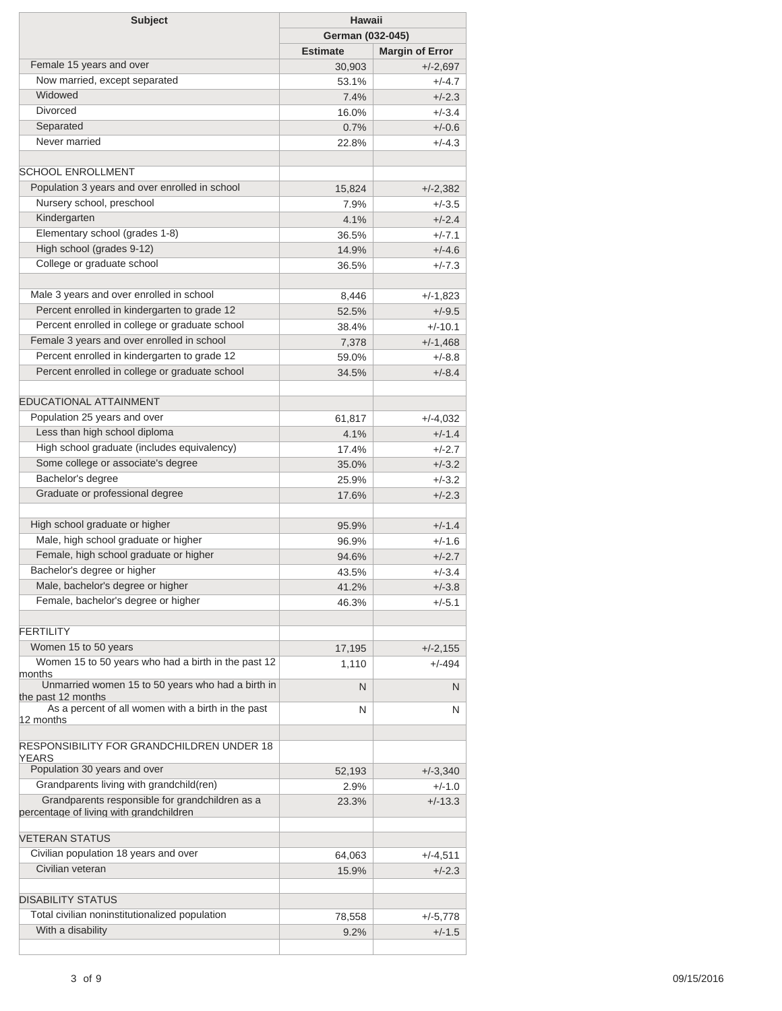| <b>Subject</b><br><b>Hawaii</b>                                       |                  |                        |  |
|-----------------------------------------------------------------------|------------------|------------------------|--|
|                                                                       | German (032-045) |                        |  |
|                                                                       | <b>Estimate</b>  | <b>Margin of Error</b> |  |
| Female 15 years and over                                              | 30,903           | $+/-2,697$             |  |
| Now married, except separated                                         | 53.1%            | $+/-4.7$               |  |
| Widowed                                                               | 7.4%             | $+/-2.3$               |  |
| <b>Divorced</b>                                                       | 16.0%            | $+/-3.4$               |  |
| Separated                                                             | 0.7%             | $+/-0.6$               |  |
| Never married                                                         | 22.8%            | $+/-4.3$               |  |
|                                                                       |                  |                        |  |
| <b>SCHOOL ENROLLMENT</b>                                              |                  |                        |  |
| Population 3 years and over enrolled in school                        | 15,824           | $+/-2,382$             |  |
| Nursery school, preschool                                             | 7.9%             | $+/-3.5$               |  |
| Kindergarten                                                          | 4.1%             | $+/-2.4$               |  |
| Elementary school (grades 1-8)                                        | 36.5%            | $+/-7.1$               |  |
| High school (grades 9-12)                                             | 14.9%            | $+/-4.6$               |  |
| College or graduate school                                            | 36.5%            | $+/-7.3$               |  |
|                                                                       |                  |                        |  |
| Male 3 years and over enrolled in school                              | 8,446            | +/-1,823               |  |
| Percent enrolled in kindergarten to grade 12                          | 52.5%            | $+/-9.5$               |  |
| Percent enrolled in college or graduate school                        | 38.4%            | $+/-10.1$              |  |
| Female 3 years and over enrolled in school                            | 7,378            | $+/-1,468$             |  |
| Percent enrolled in kindergarten to grade 12                          | 59.0%            | $+/-8.8$               |  |
| Percent enrolled in college or graduate school                        | 34.5%            | $+/-8.4$               |  |
|                                                                       |                  |                        |  |
| <b>EDUCATIONAL ATTAINMENT</b>                                         |                  |                        |  |
| Population 25 years and over                                          |                  |                        |  |
| Less than high school diploma                                         | 61,817           | +/-4,032               |  |
| High school graduate (includes equivalency)                           | 4.1%             | $+/-1.4$               |  |
| Some college or associate's degree                                    | 17.4%            | $+/-2.7$               |  |
| Bachelor's degree                                                     | 35.0%            | $+/-3.2$               |  |
| Graduate or professional degree                                       | 25.9%            | $+/-3.2$               |  |
|                                                                       | 17.6%            | $+/-2.3$               |  |
|                                                                       |                  |                        |  |
| High school graduate or higher                                        | 95.9%            | $+/-1.4$               |  |
| Male, high school graduate or higher                                  | 96.9%            | $+/-1.6$               |  |
| Female, high school graduate or higher<br>Bachelor's degree or higher | 94.6%            | $+/-2.7$               |  |
| Male, bachelor's degree or higher                                     | 43.5%            | $+/-3.4$               |  |
|                                                                       | 41.2%            | $+/-3.8$               |  |
| Female, bachelor's degree or higher                                   | 46.3%            | $+/-5.1$               |  |
|                                                                       |                  |                        |  |
| <b>FERTILITY</b>                                                      |                  |                        |  |
| Women 15 to 50 years                                                  | 17,195           | $+/-2,155$             |  |
| Women 15 to 50 years who had a birth in the past 12<br>months         | 1,110            | $+/-494$               |  |
| Unmarried women 15 to 50 years who had a birth in                     | N                | N                      |  |
| the past 12 months                                                    |                  |                        |  |
| As a percent of all women with a birth in the past<br>12 months       | N                | N                      |  |
|                                                                       |                  |                        |  |
| RESPONSIBILITY FOR GRANDCHILDREN UNDER 18                             |                  |                        |  |
| <b>YEARS</b>                                                          |                  |                        |  |
| Population 30 years and over                                          | 52,193           | $+/-3,340$             |  |
| Grandparents living with grandchild(ren)                              | 2.9%             | $+/-1.0$               |  |
| Grandparents responsible for grandchildren as a                       | 23.3%            | $+/-13.3$              |  |
| percentage of living with grandchildren                               |                  |                        |  |
| VETERAN STATUS                                                        |                  |                        |  |
| Civilian population 18 years and over                                 |                  |                        |  |
| Civilian veteran                                                      | 64,063           | +/-4,511               |  |
|                                                                       | 15.9%            | $+/-2.3$               |  |
| <b>DISABILITY STATUS</b>                                              |                  |                        |  |
| Total civilian noninstitutionalized population                        |                  |                        |  |
| With a disability                                                     | 78,558           | $+/-5,778$             |  |
|                                                                       | $9.2\%$          | $+/-1.5$               |  |
|                                                                       |                  |                        |  |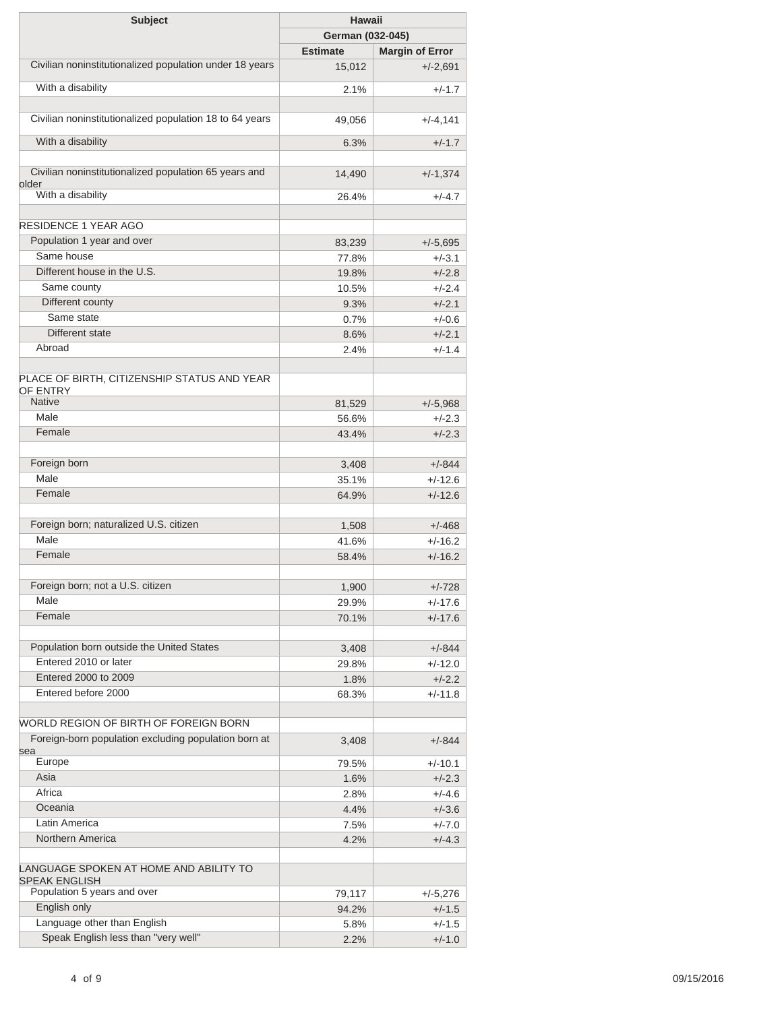| <b>Subject</b>                                                 | Hawaii           |                        |
|----------------------------------------------------------------|------------------|------------------------|
|                                                                | German (032-045) |                        |
|                                                                | <b>Estimate</b>  | <b>Margin of Error</b> |
| Civilian noninstitutionalized population under 18 years        | 15,012           | $+/-2,691$             |
| With a disability                                              | 2.1%             | $+/-1.7$               |
| Civilian noninstitutionalized population 18 to 64 years        | 49,056           | $+/-4,141$             |
| With a disability                                              | 6.3%             | $+/-1.7$               |
| Civilian noninstitutionalized population 65 years and          |                  |                        |
| older<br>With a disability                                     | 14,490           | $+/-1,374$             |
|                                                                | 26.4%            | +/-4.7                 |
| RESIDENCE 1 YEAR AGO                                           |                  |                        |
| Population 1 year and over                                     | 83,239           | $+/-5,695$             |
| Same house                                                     | 77.8%            | $+/-3.1$               |
| Different house in the U.S.                                    | 19.8%            | $+/-2.8$               |
| Same county                                                    | 10.5%            | $+/-2.4$               |
| Different county                                               | 9.3%             | $+/-2.1$               |
| Same state                                                     | 0.7%             | $+/-0.6$               |
| Different state                                                | 8.6%             | $+/-2.1$               |
| Ahroad                                                         | 2.4%             | $+/-1.4$               |
| PLACE OF BIRTH, CITIZENSHIP STATUS AND YEAR<br><b>OF ENTRY</b> |                  |                        |
| <b>Native</b>                                                  | 81,529           | $+/-5,968$             |
| Male                                                           | 56.6%            | $+/-2.3$               |
| Female                                                         | 43.4%            | $+/-2.3$               |
| Foreign born                                                   | 3,408            | $+/-844$               |
| Male                                                           | 35.1%            | $+/-12.6$              |
| Female                                                         | 64.9%            | $+/-12.6$              |
| Foreign born; naturalized U.S. citizen                         | 1,508            | $+/-468$               |
| Male                                                           | 41.6%            | $+/-16.2$              |
| Female                                                         | 58.4%            | $+/-16.2$              |
|                                                                |                  |                        |
| Foreign born; not a U.S. citizen                               | 1,900            | $+/-728$               |
| Male                                                           | 29.9%            | $+/-17.6$              |
| Female                                                         | 70.1%            | $+/-17.6$              |
| Population born outside the United States                      | 3,408            | $+/-844$               |
| Entered 2010 or later                                          | 29.8%            | $+/-12.0$              |
| Entered 2000 to 2009                                           | 1.8%             | $+/-2.2$               |
| Entered before 2000                                            | 68.3%            | $+/-11.8$              |
| WORLD REGION OF BIRTH OF FOREIGN BORN                          |                  |                        |
| Foreign-born population excluding population born at           |                  | $+/-844$               |
| sea                                                            | 3,408            |                        |
| Europe                                                         | 79.5%            | +/-10.1                |
| Asia                                                           | 1.6%             | $+/-2.3$               |
| Africa                                                         | 2.8%             | $+/-4.6$               |
| Oceania                                                        | 4.4%             | $+/-3.6$               |
| Latin America                                                  | 7.5%             | $+/-7.0$               |
| Northern America                                               | 4.2%             | $+/-4.3$               |
| LANGUAGE SPOKEN AT HOME AND ABILITY TO<br><b>SPEAK ENGLISH</b> |                  |                        |
| Population 5 years and over                                    | 79,117           | $+/-5,276$             |
| English only                                                   | 94.2%            | $+/-1.5$               |
| Language other than English                                    | 5.8%             | $+/-1.5$               |
| Speak English less than "very well"                            | 2.2%             | $+/-1.0$               |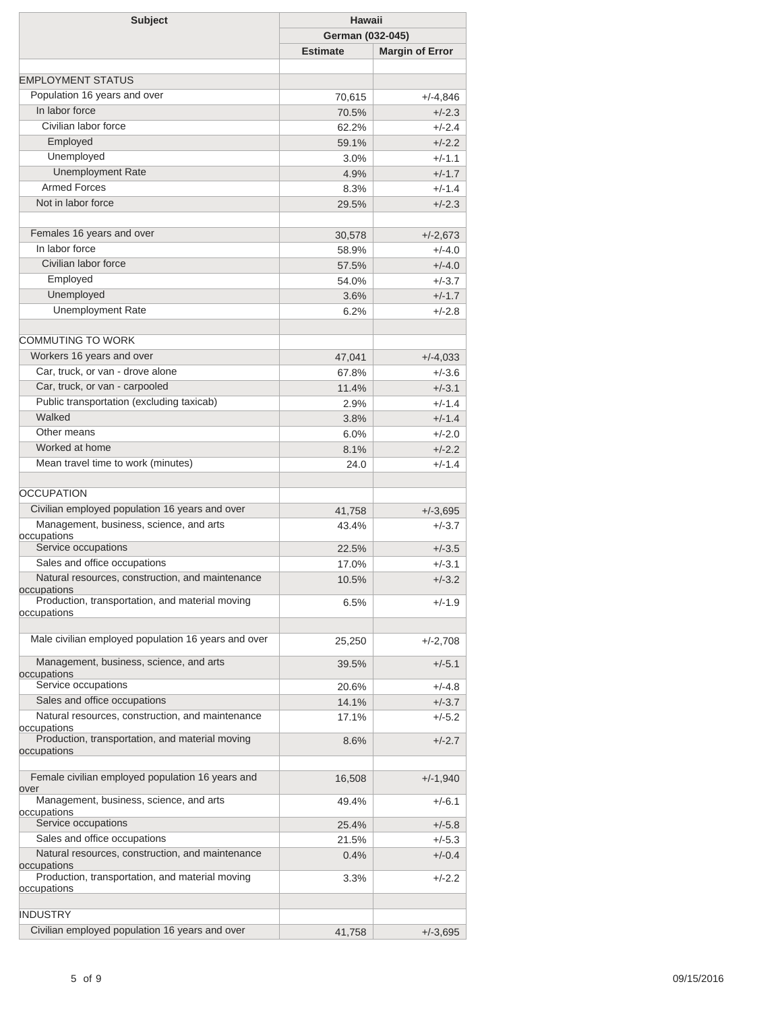| <b>Subject</b>                                                  | <b>Hawaii</b>    |                        |
|-----------------------------------------------------------------|------------------|------------------------|
|                                                                 | German (032-045) |                        |
|                                                                 | <b>Estimate</b>  | <b>Margin of Error</b> |
|                                                                 |                  |                        |
| <b>EMPLOYMENT STATUS</b>                                        |                  |                        |
| Population 16 years and over<br>In labor force                  | 70,615           | $+/-4,846$             |
|                                                                 | 70.5%            | $+/-2.3$               |
| Civilian labor force                                            | 62.2%            | $+/-2.4$               |
| Employed                                                        | 59.1%            | $+/-2.2$               |
| Unemployed                                                      | 3.0%             | $+/-1.1$               |
| <b>Unemployment Rate</b><br><b>Armed Forces</b>                 | 4.9%             | $+/-1.7$               |
| Not in labor force                                              | 8.3%             | $+/-1.4$               |
|                                                                 | 29.5%            | $+/-2.3$               |
| Females 16 years and over                                       | 30,578           | $+/-2,673$             |
| In labor force                                                  | 58.9%            | $+/-4.0$               |
| Civilian labor force                                            | 57.5%            | $+/-4.0$               |
| Employed                                                        | 54.0%            | $+/-3.7$               |
| Unemployed                                                      | 3.6%             | $+/-1.7$               |
| <b>Unemployment Rate</b>                                        | 6.2%             | $+/-2.8$               |
|                                                                 |                  |                        |
| COMMUTING TO WORK                                               |                  |                        |
| Workers 16 years and over                                       | 47,041           | $+/-4,033$             |
| Car, truck, or van - drove alone                                | 67.8%            | $+/-3.6$               |
| Car, truck, or van - carpooled                                  | 11.4%            | $+/-3.1$               |
| Public transportation (excluding taxicab)                       | 2.9%             | $+/-1.4$               |
| Walked                                                          | 3.8%             | $+/-1.4$               |
| Other means                                                     | 6.0%             | $+/-2.0$               |
| Worked at home                                                  | 8.1%             | $+/-2.2$               |
| Mean travel time to work (minutes)                              | 24.0             | $+/-1.4$               |
| <b>OCCUPATION</b>                                               |                  |                        |
| Civilian employed population 16 years and over                  | 41,758           | $+/-3,695$             |
| Management, business, science, and arts                         | 43.4%            | $+/-3.7$               |
| occupations                                                     |                  |                        |
| Service occupations                                             | 22.5%            | $+/-3.5$               |
| Sales and office occupations                                    | 17.0%            | $+/-3.1$               |
| Natural resources, construction, and maintenance<br>occupations | 10.5%            | $+/-3.2$               |
| Production, transportation, and material moving                 | 6.5%             | $+/-1.9$               |
| occupations                                                     |                  |                        |
| Male civilian employed population 16 years and over             | 25,250           | $+/-2,708$             |
|                                                                 |                  |                        |
| Management, business, science, and arts<br>occupations          | 39.5%            | $+/-5.1$               |
| Service occupations                                             | 20.6%            | $+/-4.8$               |
| Sales and office occupations                                    | 14.1%            | $+/-3.7$               |
| Natural resources, construction, and maintenance                | 17.1%            | $+/-5.2$               |
| occupations<br>Production, transportation, and material moving  | 8.6%             | $+/-2.7$               |
| occupations                                                     |                  |                        |
|                                                                 |                  |                        |
| Female civilian employed population 16 years and<br>over        | 16,508           | $+/-1,940$             |
| Management, business, science, and arts                         | 49.4%            | $+/-6.1$               |
| occupations<br>Service occupations                              | 25.4%            | $+/-5.8$               |
| Sales and office occupations                                    | 21.5%            | $+/-5.3$               |
| Natural resources, construction, and maintenance                | 0.4%             | $+/-0.4$               |
| occupations                                                     |                  |                        |
| Production, transportation, and material moving<br>occupations  | 3.3%             | $+/-2.2$               |
|                                                                 |                  |                        |
| <b>INDUSTRY</b>                                                 |                  |                        |
| Civilian employed population 16 years and over                  | 41,758           | $+/-3,695$             |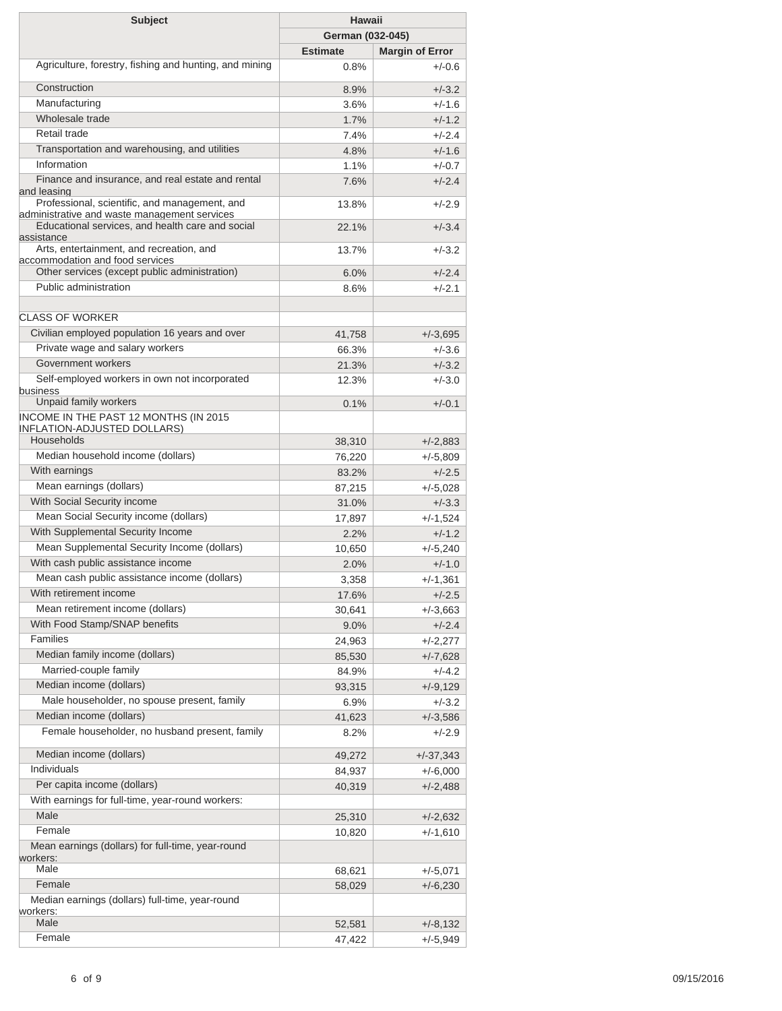| <b>Hawaii</b><br><b>Subject</b>                                                                  |                  |                        |
|--------------------------------------------------------------------------------------------------|------------------|------------------------|
|                                                                                                  | German (032-045) |                        |
|                                                                                                  | <b>Estimate</b>  | <b>Margin of Error</b> |
| Agriculture, forestry, fishing and hunting, and mining                                           | 0.8%             | $+/-0.6$               |
| Construction                                                                                     | 8.9%             | $+/-3.2$               |
| Manufacturing                                                                                    | $3.6\%$          | $+/-1.6$               |
| Wholesale trade                                                                                  | 1.7%             | $+/-1.2$               |
| Retail trade                                                                                     | 7.4%             | $+/-2.4$               |
| Transportation and warehousing, and utilities                                                    | 4.8%             | $+/-1.6$               |
| Information                                                                                      | 1.1%             | $+/-0.7$               |
| Finance and insurance, and real estate and rental                                                | 7.6%             | $+/-2.4$               |
| and leasing<br>Professional, scientific, and management, and                                     | 13.8%            | $+/-2.9$               |
| administrative and waste management services<br>Educational services, and health care and social | 22.1%            | $+/-3.4$               |
| assistance<br>Arts, entertainment, and recreation, and                                           |                  |                        |
| accommodation and food services                                                                  | 13.7%            | $+/-3.2$               |
| Other services (except public administration)                                                    | 6.0%             | $+/-2.4$               |
| Public administration                                                                            | 8.6%             | $+/-2.1$               |
|                                                                                                  |                  |                        |
| <b>CLASS OF WORKER</b>                                                                           |                  |                        |
| Civilian employed population 16 years and over                                                   | 41,758           | $+/-3,695$             |
| Private wage and salary workers                                                                  | 66.3%            | $+/-3.6$               |
| Government workers                                                                               | 21.3%            | $+/-3.2$               |
| Self-employed workers in own not incorporated                                                    | 12.3%            | $+/-3.0$               |
| business                                                                                         |                  |                        |
| Unpaid family workers                                                                            | 0.1%             | $+/-0.1$               |
| INCOME IN THE PAST 12 MONTHS (IN 2015<br>INFLATION-ADJUSTED DOLLARS)<br>Households               |                  |                        |
| Median household income (dollars)                                                                | 38,310           | $+/-2,883$             |
| With earnings                                                                                    | 76,220           | $+/-5,809$             |
|                                                                                                  | 83.2%            | $+/-2.5$               |
| Mean earnings (dollars)                                                                          | 87,215           | $+/-5,028$             |
| With Social Security income                                                                      | 31.0%            | $+/-3.3$               |
| Mean Social Security income (dollars)                                                            | 17,897           | $+/-1.524$             |
| With Supplemental Security Income                                                                | $2.2\%$          | $+/-1.2$               |
| Mean Supplemental Security Income (dollars)                                                      | 10,650           | $+/-5.240$             |
| With cash public assistance income                                                               | 2.0%             | $+/-1.0$               |
| Mean cash public assistance income (dollars)                                                     | 3,358            | $+/-1,361$             |
| With retirement income                                                                           | 17.6%            | $+/-2.5$               |
| Mean retirement income (dollars)                                                                 | 30,641           | $+/-3,663$             |
| With Food Stamp/SNAP benefits                                                                    | 9.0%             | $+/-2.4$               |
| Families                                                                                         | 24,963           | $+/-2,277$             |
| Median family income (dollars)                                                                   | 85,530           | $+/-7,628$             |
| Married-couple family                                                                            | 84.9%            | $+/-4.2$               |
| Median income (dollars)                                                                          | 93,315           | $+/-9,129$             |
| Male householder, no spouse present, family                                                      | 6.9%             | $+/-3.2$               |
| Median income (dollars)                                                                          | 41,623           | $+/-3,586$             |
| Female householder, no husband present, family                                                   | 8.2%             | $+/-2.9$               |
| Median income (dollars)                                                                          | 49,272           | $+/-37,343$            |
| Individuals                                                                                      | 84,937           | $+/-6,000$             |
| Per capita income (dollars)                                                                      | 40,319           | $+/-2,488$             |
| With earnings for full-time, year-round workers:                                                 |                  |                        |
| Male                                                                                             | 25,310           | $+/-2,632$             |
| Female                                                                                           | 10,820           | $+/-1,610$             |
| Mean earnings (dollars) for full-time, year-round<br>workers:                                    |                  |                        |
| Male                                                                                             | 68,621           | +/-5,071               |
| Female                                                                                           | 58,029           | $+/-6,230$             |
| Median earnings (dollars) full-time, year-round<br>workers:                                      |                  |                        |
| Male                                                                                             | 52,581           | $+/-8,132$             |
| Female                                                                                           | 47,422           | $+/-5,949$             |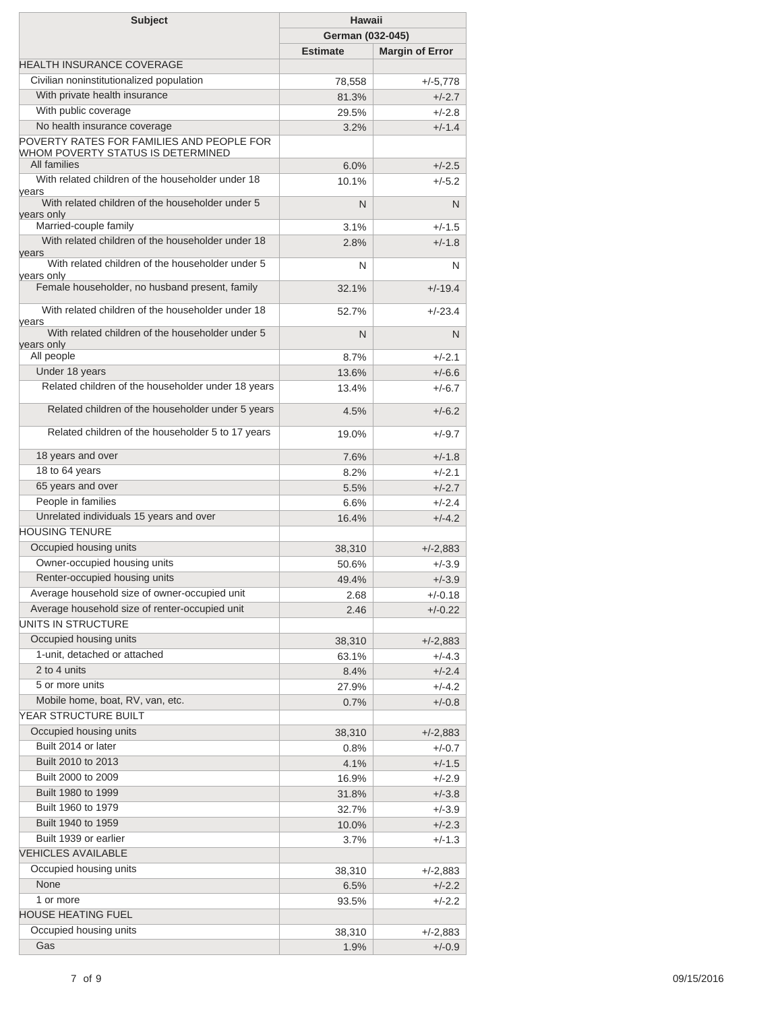| <b>Hawaii</b><br><b>Subject</b><br>German (032-045)                        |                 |                        |
|----------------------------------------------------------------------------|-----------------|------------------------|
|                                                                            | <b>Estimate</b> | <b>Margin of Error</b> |
| HEALTH INSURANCE COVERAGE                                                  |                 |                        |
| Civilian noninstitutionalized population                                   | 78,558          | $+/-5,778$             |
| With private health insurance                                              |                 |                        |
| With public coverage                                                       | 81.3%           | $+/-2.7$               |
| No health insurance coverage                                               | 29.5%           | $+/-2.8$               |
| POVERTY RATES FOR FAMILIES AND PEOPLE FOR                                  | 3.2%            | $+/-1.4$               |
| WHOM POVERTY STATUS IS DETERMINED<br>All families                          | 6.0%            | $+/-2.5$               |
| With related children of the householder under 18                          | 10.1%           | $+/-5.2$               |
| vears<br>With related children of the householder under 5                  | N               | N                      |
| years only                                                                 |                 |                        |
| Married-couple family<br>With related children of the householder under 18 | 3.1%            | $+/-1.5$               |
| years                                                                      | 2.8%            | $+/-1.8$               |
| With related children of the householder under 5<br>years only             | N               | N                      |
| Female householder, no husband present, family                             | 32.1%           | $+/-19.4$              |
| With related children of the householder under 18<br>vears                 | 52.7%           | $+/-23.4$              |
| With related children of the householder under 5                           | N               | N                      |
| years only<br>All people                                                   | 8.7%            | $+/-2.1$               |
| Under 18 years                                                             | 13.6%           | $+/-6.6$               |
| Related children of the householder under 18 years                         | 13.4%           | $+/-6.7$               |
|                                                                            |                 |                        |
| Related children of the householder under 5 years                          | 4.5%            | $+/-6.2$               |
| Related children of the householder 5 to 17 years                          | 19.0%           | $+/-9.7$               |
| 18 years and over                                                          | 7.6%            | $+/-1.8$               |
| 18 to 64 years                                                             | 8.2%            | $+/-2.1$               |
| 65 years and over                                                          | 5.5%            | $+/-2.7$               |
| People in families                                                         | 6.6%            | $+/-2.4$               |
| Unrelated individuals 15 years and over                                    | 16.4%           | $+/-4.2$               |
| <b>HOUSING TENURE</b>                                                      |                 |                        |
| Occupied housing units                                                     | 38,310          | $+/-2,883$             |
| Owner-occupied housing units                                               | 50.6%           | $+/-3.9$               |
| Renter-occupied housing units                                              | 49.4%           | $+/-3.9$               |
| Average household size of owner-occupied unit                              | 2.68            | $+/-0.18$              |
| Average household size of renter-occupied unit                             | 2.46            | $+/-0.22$              |
| UNITS IN STRUCTURE                                                         |                 |                        |
| Occupied housing units                                                     | 38,310          | $+/-2,883$             |
| 1-unit, detached or attached                                               | 63.1%           | $+/-4.3$               |
| 2 to 4 units                                                               | 8.4%            | $+/-2.4$               |
| 5 or more units                                                            | 27.9%           | $+/-4.2$               |
| Mobile home, boat, RV, van, etc.                                           | 0.7%            | $+/-0.8$               |
| YEAR STRUCTURE BUILT                                                       |                 |                        |
| Occupied housing units                                                     |                 |                        |
| Built 2014 or later                                                        | 38,310          | $+/-2,883$             |
| Built 2010 to 2013                                                         | $0.8\%$         | $+/-0.7$               |
|                                                                            | 4.1%            | $+/-1.5$               |
| Built 2000 to 2009                                                         | 16.9%           | $+/-2.9$               |
| Built 1980 to 1999                                                         | 31.8%           | $+/-3.8$               |
| Built 1960 to 1979                                                         | 32.7%           | $+/-3.9$               |
| Built 1940 to 1959                                                         | 10.0%           | $+/-2.3$               |
| Built 1939 or earlier                                                      | 3.7%            | $+/-1.3$               |
| <b>VEHICLES AVAILABLE</b>                                                  |                 |                        |
| Occupied housing units                                                     | 38,310          | +/-2,883               |
| None                                                                       | 6.5%            | $+/-2.2$               |
| 1 or more                                                                  | 93.5%           | $+/-2.2$               |
| HOUSE HEATING FUEL                                                         |                 |                        |
| Occupied housing units                                                     | 38,310          | +/-2,883               |
| Gas                                                                        | 1.9%            | $+/-0.9$               |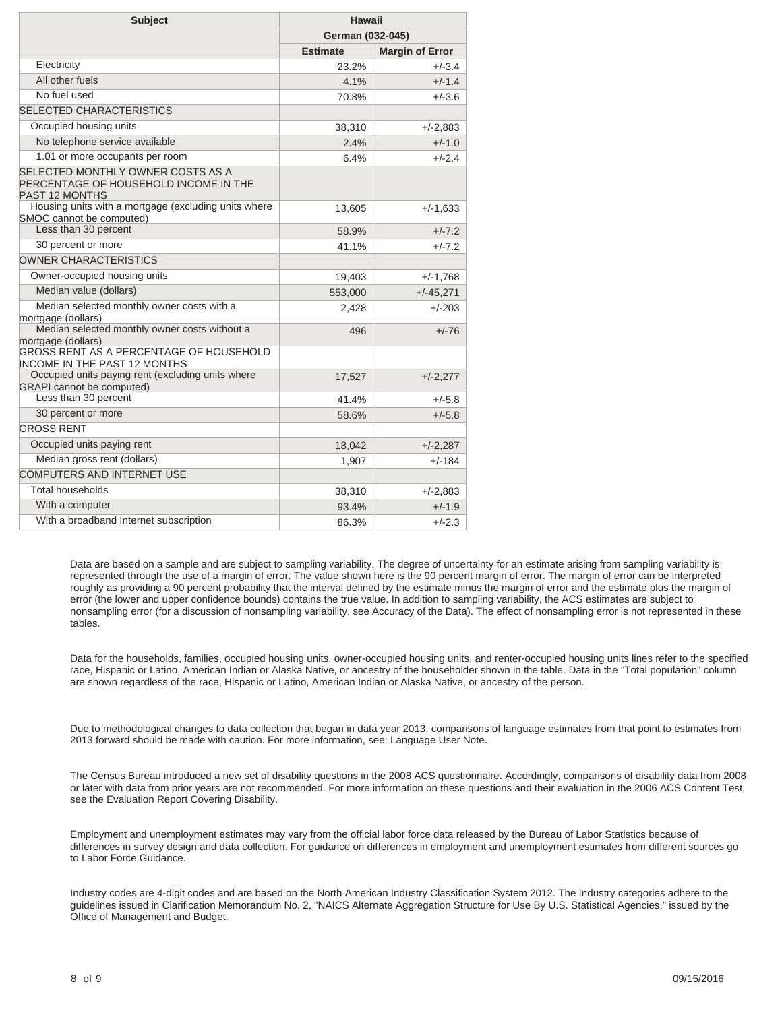| <b>Subject</b>                                                                               | Hawaii           |                        |
|----------------------------------------------------------------------------------------------|------------------|------------------------|
|                                                                                              | German (032-045) |                        |
|                                                                                              | <b>Estimate</b>  | <b>Margin of Error</b> |
| Electricity                                                                                  | 23.2%            | $+/-3.4$               |
| All other fuels                                                                              | 4.1%             | $+/-1.4$               |
| No fuel used                                                                                 | 70.8%            | $+/-3.6$               |
| <b>SELECTED CHARACTERISTICS</b>                                                              |                  |                        |
| Occupied housing units                                                                       | 38,310           | $+/-2,883$             |
| No telephone service available                                                               | 2.4%             | $+/-1.0$               |
| 1.01 or more occupants per room                                                              | 6.4%             | $+/-2.4$               |
| SELECTED MONTHLY OWNER COSTS AS A<br>PERCENTAGE OF HOUSEHOLD INCOME IN THE<br>PAST 12 MONTHS |                  |                        |
| Housing units with a mortgage (excluding units where<br>SMOC cannot be computed)             | 13,605           | $+/-1,633$             |
| Less than 30 percent                                                                         | 58.9%            | $+/-7.2$               |
| 30 percent or more                                                                           | 41.1%            | $+/-7.2$               |
| <b>OWNER CHARACTERISTICS</b>                                                                 |                  |                        |
| Owner-occupied housing units                                                                 | 19,403           | $+/-1,768$             |
| Median value (dollars)                                                                       | 553,000          | $+/-45,271$            |
| Median selected monthly owner costs with a<br>mortgage (dollars)                             | 2,428            | $+/-203$               |
| Median selected monthly owner costs without a<br>mortgage (dollars)                          | 496              | $+/-76$                |
| GROSS RENT AS A PERCENTAGE OF HOUSEHOLD<br><b>INCOME IN THE PAST 12 MONTHS</b>               |                  |                        |
| Occupied units paying rent (excluding units where<br><b>GRAPI</b> cannot be computed)        | 17,527           | $+/-2,277$             |
| Less than 30 percent                                                                         | 41.4%            | $+/-5.8$               |
| 30 percent or more                                                                           | 58.6%            | $+/-5.8$               |
| <b>GROSS RENT</b>                                                                            |                  |                        |
| Occupied units paying rent                                                                   | 18,042           | $+/-2,287$             |
| Median gross rent (dollars)                                                                  | 1,907            | $+/-184$               |
| <b>COMPUTERS AND INTERNET USE</b>                                                            |                  |                        |
| <b>Total households</b>                                                                      | 38,310           | $+/-2,883$             |
| With a computer                                                                              | 93.4%            | $+/-1.9$               |
| With a broadband Internet subscription                                                       | 86.3%            | $+/-2.3$               |

Data are based on a sample and are subject to sampling variability. The degree of uncertainty for an estimate arising from sampling variability is represented through the use of a margin of error. The value shown here is the 90 percent margin of error. The margin of error can be interpreted roughly as providing a 90 percent probability that the interval defined by the estimate minus the margin of error and the estimate plus the margin of error (the lower and upper confidence bounds) contains the true value. In addition to sampling variability, the ACS estimates are subject to nonsampling error (for a discussion of nonsampling variability, see Accuracy of the Data). The effect of nonsampling error is not represented in these tables.

Data for the households, families, occupied housing units, owner-occupied housing units, and renter-occupied housing units lines refer to the specified race, Hispanic or Latino, American Indian or Alaska Native, or ancestry of the householder shown in the table. Data in the "Total population" column are shown regardless of the race, Hispanic or Latino, American Indian or Alaska Native, or ancestry of the person.

Due to methodological changes to data collection that began in data year 2013, comparisons of language estimates from that point to estimates from 2013 forward should be made with caution. For more information, see: Language User Note.

The Census Bureau introduced a new set of disability questions in the 2008 ACS questionnaire. Accordingly, comparisons of disability data from 2008 or later with data from prior years are not recommended. For more information on these questions and their evaluation in the 2006 ACS Content Test, see the Evaluation Report Covering Disability.

Employment and unemployment estimates may vary from the official labor force data released by the Bureau of Labor Statistics because of differences in survey design and data collection. For guidance on differences in employment and unemployment estimates from different sources go to Labor Force Guidance.

Industry codes are 4-digit codes and are based on the North American Industry Classification System 2012. The Industry categories adhere to the guidelines issued in Clarification Memorandum No. 2, "NAICS Alternate Aggregation Structure for Use By U.S. Statistical Agencies," issued by the Office of Management and Budget.